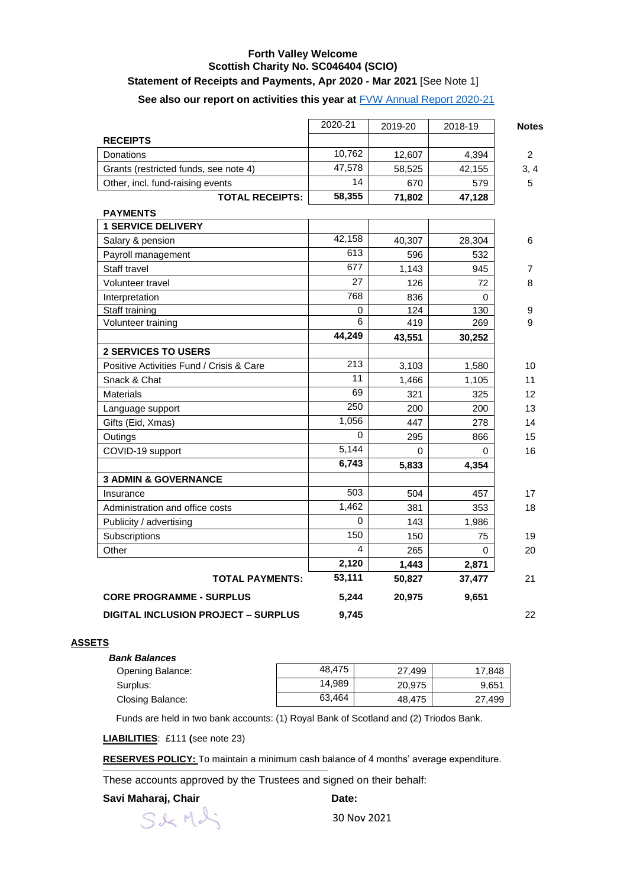# **Forth Valley Welcome Scottish Charity No. SC046404 (SCIO)**

## **Statement of Receipts and Payments, Apr 2020 - Mar 2021** [See Note 1]

## **See also our report on activities this year at** [FVW Annual Report 2020-21](https://www.forthvalleywelcome.org/reports-and-financial-statements)

|                                            | 2020-21  | 2019-20  | 2018-19 | <b>Notes</b>   |
|--------------------------------------------|----------|----------|---------|----------------|
| <b>RECEIPTS</b>                            |          |          |         |                |
| Donations                                  | 10,762   | 12,607   | 4,394   | $\overline{2}$ |
| Grants (restricted funds, see note 4)      | 47,578   | 58,525   | 42,155  | 3, 4           |
| Other, incl. fund-raising events           | 14       | 670      | 579     | 5              |
| <b>TOTAL RECEIPTS:</b>                     | 58,355   | 71,802   | 47,128  |                |
| <b>PAYMENTS</b>                            |          |          |         |                |
| <b>1 SERVICE DELIVERY</b>                  |          |          |         |                |
| Salary & pension                           | 42,158   | 40,307   | 28,304  | 6              |
| Payroll management                         | 613      | 596      | 532     |                |
| Staff travel                               | 677      | 1,143    | 945     | 7              |
| Volunteer travel                           | 27       | 126      | 72      | 8              |
| Interpretation                             | 768      | 836      | 0       |                |
| Staff training                             | 0        | 124      | 130     | 9              |
| Volunteer training                         | 6        | 419      | 269     | 9              |
|                                            | 44,249   | 43,551   | 30,252  |                |
| <b>2 SERVICES TO USERS</b>                 |          |          |         |                |
| Positive Activities Fund / Crisis & Care   | 213      | 3,103    | 1,580   | 10             |
| Snack & Chat                               | 11       | 1,466    | 1,105   | 11             |
| <b>Materials</b>                           | 69       | 321      | 325     | 12             |
| Language support                           | 250      | 200      | 200     | 13             |
| Gifts (Eid, Xmas)                          | 1,056    | 447      | 278     | 14             |
| Outings                                    | $\Omega$ | 295      | 866     | 15             |
| COVID-19 support                           | 5,144    | $\Omega$ | 0       | 16             |
|                                            | 6,743    | 5,833    | 4,354   |                |
| <b>3 ADMIN &amp; GOVERNANCE</b>            |          |          |         |                |
| Insurance                                  | 503      | 504      | 457     | 17             |
| Administration and office costs            | 1,462    | 381      | 353     | 18             |
| Publicity / advertising                    | 0        | 143      | 1,986   |                |
| Subscriptions                              | 150      | 150      | 75      | 19             |
| Other                                      | 4        | 265      | 0       | 20             |
|                                            | 2,120    | 1,443    | 2,871   |                |
| <b>TOTAL PAYMENTS:</b>                     | 53,111   | 50,827   | 37,477  | 21             |
| <b>CORE PROGRAMME - SURPLUS</b>            | 5,244    | 20,975   | 9,651   |                |
| <b>DIGITAL INCLUSION PROJECT - SURPLUS</b> | 9,745    |          |         | 22             |

#### **ASSETS**

| <b>Bank Balances</b> |        |        |        |
|----------------------|--------|--------|--------|
| Opening Balance:     | 48.475 | 27.499 | 17.848 |
| Surplus:             | 14,989 | 20.975 | 9,651  |
| Closing Balance:     | 63.464 | 48.475 | 27,499 |

Funds are held in two bank accounts: (1) Royal Bank of Scotland and (2) Triodos Bank.

**LIABILITIES**: £111 **(**see note 23)

**RESERVES POLICY:** To maintain a minimum cash balance of 4 months' average expenditure.

These accounts approved by the Trustees and signed on their behalf:

#### Savi Maharaj, Chair **Date:** Date:

S&Mdi

\_\_\_\_\_\_\_\_\_\_\_\_\_\_\_\_\_\_\_\_\_\_\_\_\_\_\_\_\_\_\_\_\_\_\_\_\_\_\_\_\_\_\_\_\_\_\_\_\_\_\_\_\_\_\_\_\_\_\_\_\_\_\_\_\_\_\_\_\_\_\_\_\_\_\_\_\_

30 Nov 2021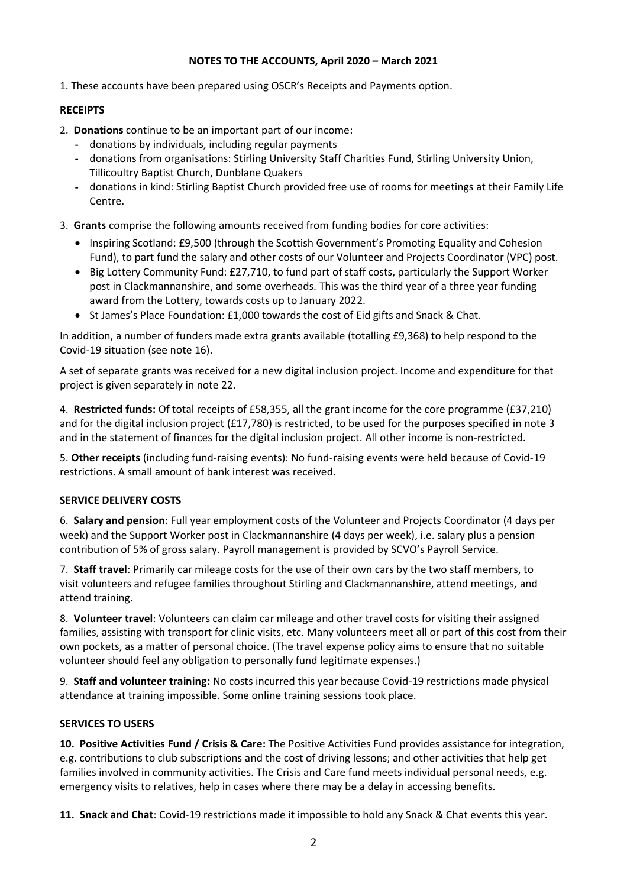## **NOTES TO THE ACCOUNTS, April 2020 – March 2021**

1. These accounts have been prepared using OSCR's Receipts and Payments option.

## **RECEIPTS**

- 2. **Donations** continue to be an important part of our income:
	- donations by individuals, including regular payments
	- donations from organisations: Stirling University Staff Charities Fund, Stirling University Union, Tillicoultry Baptist Church, Dunblane Quakers
	- donations in kind: Stirling Baptist Church provided free use of rooms for meetings at their Family Life Centre.
- 3. **Grants** comprise the following amounts received from funding bodies for core activities:
	- Inspiring Scotland: £9,500 (through the Scottish Government's Promoting Equality and Cohesion Fund), to part fund the salary and other costs of our Volunteer and Projects Coordinator (VPC) post.
	- Big Lottery Community Fund: £27,710, to fund part of staff costs, particularly the Support Worker post in Clackmannanshire, and some overheads. This was the third year of a three year funding award from the Lottery, towards costs up to January 2022.
	- St James's Place Foundation: £1,000 towards the cost of Eid gifts and Snack & Chat.

In addition, a number of funders made extra grants available (totalling £9,368) to help respond to the Covid-19 situation (see note 16).

A set of separate grants was received for a new digital inclusion project. Income and expenditure for that project is given separately in note 22.

4. **Restricted funds:** Of total receipts of £58,355, all the grant income for the core programme (£37,210) and for the digital inclusion project (£17,780) is restricted, to be used for the purposes specified in note 3 and in the statement of finances for the digital inclusion project. All other income is non-restricted.

5. **Other receipts** (including fund-raising events): No fund-raising events were held because of Covid-19 restrictions. A small amount of bank interest was received.

### **SERVICE DELIVERY COSTS**

6. **Salary and pension**: Full year employment costs of the Volunteer and Projects Coordinator (4 days per week) and the Support Worker post in Clackmannanshire (4 days per week), i.e. salary plus a pension contribution of 5% of gross salary. Payroll management is provided by SCVO's Payroll Service.

7. **Staff travel**: Primarily car mileage costs for the use of their own cars by the two staff members, to visit volunteers and refugee families throughout Stirling and Clackmannanshire, attend meetings, and attend training.

8. **Volunteer travel**: Volunteers can claim car mileage and other travel costs for visiting their assigned families, assisting with transport for clinic visits, etc. Many volunteers meet all or part of this cost from their own pockets, as a matter of personal choice. (The travel expense policy aims to ensure that no suitable volunteer should feel any obligation to personally fund legitimate expenses.)

9. **Staff and volunteer training:** No costs incurred this year because Covid-19 restrictions made physical attendance at training impossible. Some online training sessions took place.

## **SERVICES TO USERS**

**10. Positive Activities Fund / Crisis & Care:** The Positive Activities Fund provides assistance for integration, e.g. contributions to club subscriptions and the cost of driving lessons; and other activities that help get families involved in community activities. The Crisis and Care fund meets individual personal needs, e.g. emergency visits to relatives, help in cases where there may be a delay in accessing benefits.

**11. Snack and Chat**: Covid-19 restrictions made it impossible to hold any Snack & Chat events this year.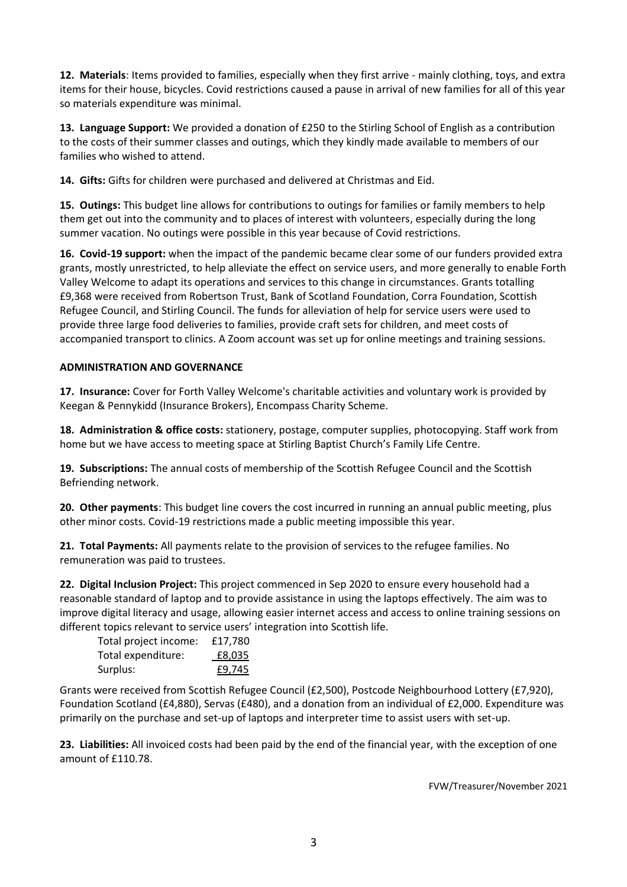**12. Materials**: Items provided to families, especially when they first arrive - mainly clothing, toys, and extra items for their house, bicycles. Covid restrictions caused a pause in arrival of new families for all of this year so materials expenditure was minimal.

**13. Language Support:** We provided a donation of £250 to the Stirling School of English as a contribution to the costs of their summer classes and outings, which they kindly made available to members of our families who wished to attend.

**14. Gifts:** Gifts for children were purchased and delivered at Christmas and Eid.

**15. Outings:** This budget line allows for contributions to outings for families or family members to help them get out into the community and to places of interest with volunteers, especially during the long summer vacation. No outings were possible in this year because of Covid restrictions.

**16. Covid-19 support:** when the impact of the pandemic became clear some of our funders provided extra grants, mostly unrestricted, to help alleviate the effect on service users, and more generally to enable Forth Valley Welcome to adapt its operations and services to this change in circumstances. Grants totalling £9,368 were received from Robertson Trust, Bank of Scotland Foundation, Corra Foundation, Scottish Refugee Council, and Stirling Council. The funds for alleviation of help for service users were used to provide three large food deliveries to families, provide craft sets for children, and meet costs of accompanied transport to clinics. A Zoom account was set up for online meetings and training sessions.

## **ADMINISTRATION AND GOVERNANCE**

**17. Insurance:** Cover for Forth Valley Welcome's charitable activities and voluntary work is provided by Keegan & Pennykidd (Insurance Brokers), Encompass Charity Scheme.

**18. Administration & office costs:** stationery, postage, computer supplies, photocopying. Staff work from home but we have access to meeting space at Stirling Baptist Church's Family Life Centre.

**19. Subscriptions:** The annual costs of membership of the Scottish Refugee Council and the Scottish Befriending network.

**20. Other payments**: This budget line covers the cost incurred in running an annual public meeting, plus other minor costs. Covid-19 restrictions made a public meeting impossible this year.

**21. Total Payments:** All payments relate to the provision of services to the refugee families. No remuneration was paid to trustees.

**22. Digital Inclusion Project:** This project commenced in Sep 2020 to ensure every household had a reasonable standard of laptop and to provide assistance in using the laptops effectively. The aim was to improve digital literacy and usage, allowing easier internet access and access to online training sessions on different topics relevant to service users' integration into Scottish life.

| Total project income: | £17,780 |
|-----------------------|---------|
| Total expenditure:    | £8,035  |
| Surplus:              | £9,745  |

Grants were received from Scottish Refugee Council (£2,500), Postcode Neighbourhood Lottery (£7,920), Foundation Scotland (£4,880), Servas (£480), and a donation from an individual of £2,000. Expenditure was primarily on the purchase and set-up of laptops and interpreter time to assist users with set-up.

**23. Liabilities:** All invoiced costs had been paid by the end of the financial year, with the exception of one amount of £110.78.

FVW/Treasurer/November 2021